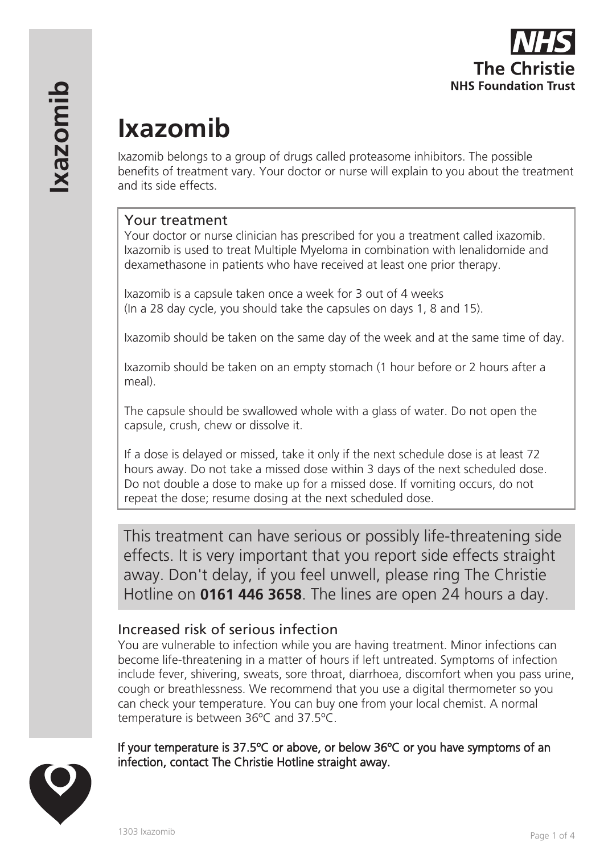

# **Ixazomib**

Ixazomib belongs to a group of drugs called proteasome inhibitors. The possible benefits of treatment vary. Your doctor or nurse will explain to you about the treatment and its side effects.

# Your treatment

Your doctor or nurse clinician has prescribed for you a treatment called ixazomib. Ixazomib is used to treat Multiple Myeloma in combination with lenalidomide and dexamethasone in patients who have received at least one prior therapy.

Ixazomib is a capsule taken once a week for 3 out of 4 weeks (In a 28 day cycle, you should take the capsules on days 1, 8 and 15).

Ixazomib should be taken on the same day of the week and at the same time of day.

Ixazomib should be taken on an empty stomach (1 hour before or 2 hours after a meal).

The capsule should be swallowed whole with a glass of water. Do not open the capsule, crush, chew or dissolve it.

If a dose is delayed or missed, take it only if the next schedule dose is at least 72 hours away. Do not take a missed dose within 3 days of the next scheduled dose. Do not double a dose to make up for a missed dose. If vomiting occurs, do not repeat the dose; resume dosing at the next scheduled dose.

This treatment can have serious or possibly life-threatening side effects. It is very important that you report side effects straight away. Don't delay, if you feel unwell, please ring The Christie Hotline on **0161 446 3658**. The lines are open 24 hours a day.

# Increased risk of serious infection

You are vulnerable to infection while you are having treatment. Minor infections can become life-threatening in a matter of hours if left untreated. Symptoms of infection include fever, shivering, sweats, sore throat, diarrhoea, discomfort when you pass urine, cough or breathlessness. We recommend that you use a digital thermometer so you can check your temperature. You can buy one from your local chemist. A normal temperature is between 36ºC and 37.5ºC.

If your temperature is 37.5ºC or above, or below 36ºC or you have symptoms of an infection, contact The Christie Hotline straight away.

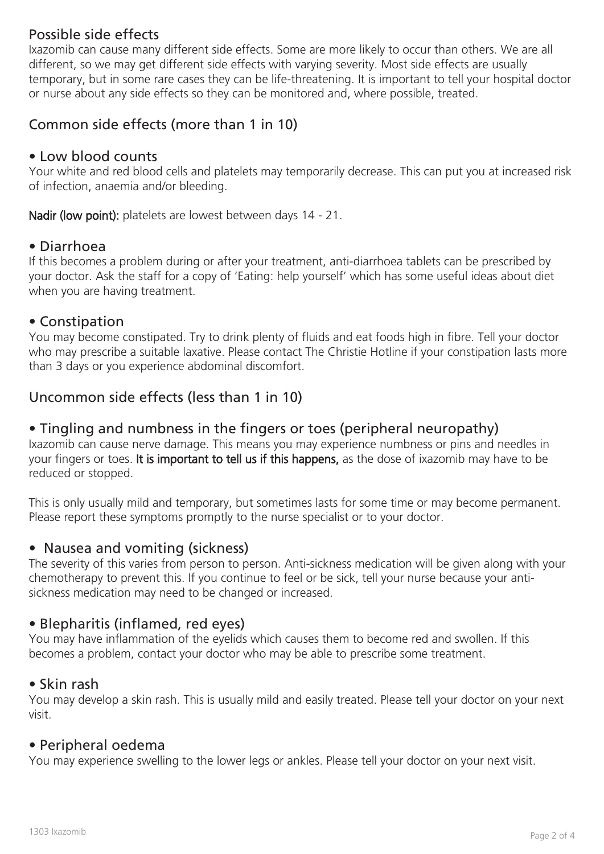# Possible side effects

Ixazomib can cause many different side effects. Some are more likely to occur than others. We are all different, so we may get different side effects with varying severity. Most side effects are usually temporary, but in some rare cases they can be life-threatening. It is important to tell your hospital doctor or nurse about any side effects so they can be monitored and, where possible, treated.

# Common side effects (more than 1 in 10)

#### • Low blood counts

Your white and red blood cells and platelets may temporarily decrease. This can put you at increased risk of infection, anaemia and/or bleeding.

Nadir (low point): platelets are lowest between days 14 - 21.

#### • Diarrhoea

If this becomes a problem during or after your treatment, anti-diarrhoea tablets can be prescribed by your doctor. Ask the staff for a copy of 'Eating: help yourself' which has some useful ideas about diet when you are having treatment.

#### • Constipation

You may become constipated. Try to drink plenty of fluids and eat foods high in fibre. Tell your doctor who may prescribe a suitable laxative. Please contact The Christie Hotline if your constipation lasts more than 3 days or you experience abdominal discomfort.

### Uncommon side effects (less than 1 in 10)

#### • Tingling and numbness in the fingers or toes (peripheral neuropathy)

Ixazomib can cause nerve damage. This means you may experience numbness or pins and needles in your fingers or toes. It is important to tell us if this happens, as the dose of ixazomib may have to be reduced or stopped.

This is only usually mild and temporary, but sometimes lasts for some time or may become permanent. Please report these symptoms promptly to the nurse specialist or to your doctor.

#### • Nausea and vomiting (sickness)

The severity of this varies from person to person. Anti-sickness medication will be given along with your chemotherapy to prevent this. If you continue to feel or be sick, tell your nurse because your antisickness medication may need to be changed or increased.

#### • Blepharitis (inflamed, red eyes)

You may have inflammation of the eyelids which causes them to become red and swollen. If this becomes a problem, contact your doctor who may be able to prescribe some treatment.

#### • Skin rash

You may develop a skin rash. This is usually mild and easily treated. Please tell your doctor on your next visit.

#### • Peripheral oedema

You may experience swelling to the lower legs or ankles. Please tell your doctor on your next visit.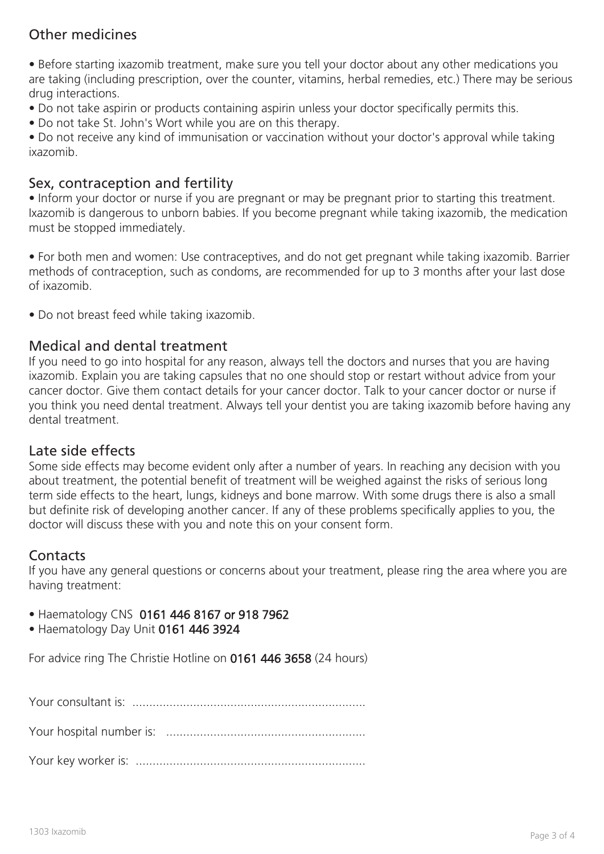# Other medicines

• Before starting ixazomib treatment, make sure you tell your doctor about any other medications you are taking (including prescription, over the counter, vitamins, herbal remedies, etc.) There may be serious drug interactions.

• Do not take aspirin or products containing aspirin unless your doctor specifically permits this.

• Do not take St. John's Wort while you are on this therapy.

• Do not receive any kind of immunisation or vaccination without your doctor's approval while taking ixazomib.

# Sex, contraception and fertility

• Inform your doctor or nurse if you are pregnant or may be pregnant prior to starting this treatment. Ixazomib is dangerous to unborn babies. If you become pregnant while taking ixazomib, the medication must be stopped immediately.

• For both men and women: Use contraceptives, and do not get pregnant while taking ixazomib. Barrier methods of contraception, such as condoms, are recommended for up to 3 months after your last dose of ixazomib.

• Do not breast feed while taking ixazomib.

# Medical and dental treatment

If you need to go into hospital for any reason, always tell the doctors and nurses that you are having ixazomib. Explain you are taking capsules that no one should stop or restart without advice from your cancer doctor. Give them contact details for your cancer doctor. Talk to your cancer doctor or nurse if you think you need dental treatment. Always tell your dentist you are taking ixazomib before having any dental treatment.

#### Late side effects

Some side effects may become evident only after a number of years. In reaching any decision with you about treatment, the potential benefit of treatment will be weighed against the risks of serious long term side effects to the heart, lungs, kidneys and bone marrow. With some drugs there is also a small but definite risk of developing another cancer. If any of these problems specifically applies to you, the doctor will discuss these with you and note this on your consent form.

#### **Contacts**

If you have any general questions or concerns about your treatment, please ring the area where you are having treatment:

- Haematology CNS 0161 446 8167 or 918 7962
- Haematology Day Unit 0161 446 3924

For advice ring The Christie Hotline on 0161 446 3658 (24 hours)

Your consultant is: .....................................................................

Your hospital number is: ...........................................................

Your key worker is: ....................................................................